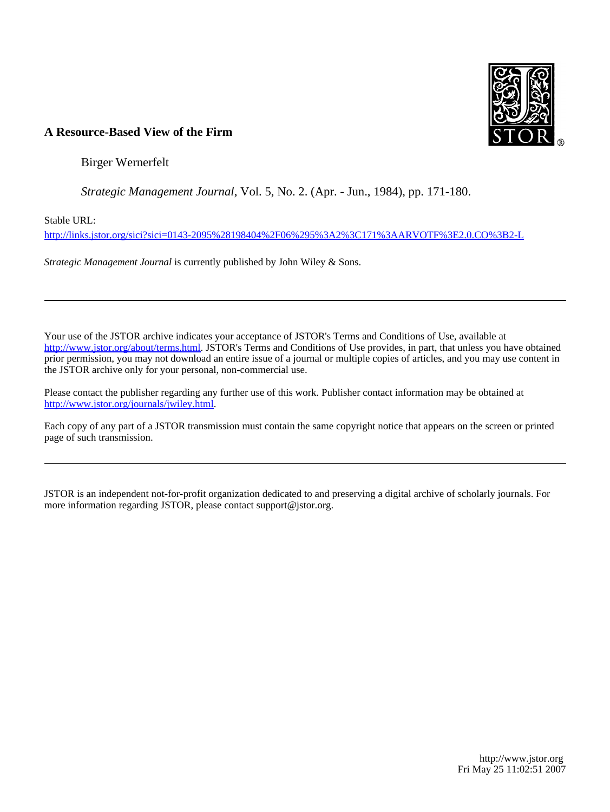

## **A Resource-Based View of the Firm**

Birger Wernerfelt

*Strategic Management Journal*, Vol. 5, No. 2. (Apr. - Jun., 1984), pp. 171-180.

Stable URL:

<http://links.jstor.org/sici?sici=0143-2095%28198404%2F06%295%3A2%3C171%3AARVOTF%3E2.0.CO%3B2-L>

*Strategic Management Journal* is currently published by John Wiley & Sons.

Your use of the JSTOR archive indicates your acceptance of JSTOR's Terms and Conditions of Use, available at [http://www.jstor.org/about/terms.html.](http://www.jstor.org/about/terms.html) JSTOR's Terms and Conditions of Use provides, in part, that unless you have obtained prior permission, you may not download an entire issue of a journal or multiple copies of articles, and you may use content in the JSTOR archive only for your personal, non-commercial use.

Please contact the publisher regarding any further use of this work. Publisher contact information may be obtained at <http://www.jstor.org/journals/jwiley.html>.

Each copy of any part of a JSTOR transmission must contain the same copyright notice that appears on the screen or printed page of such transmission.

JSTOR is an independent not-for-profit organization dedicated to and preserving a digital archive of scholarly journals. For more information regarding JSTOR, please contact support@jstor.org.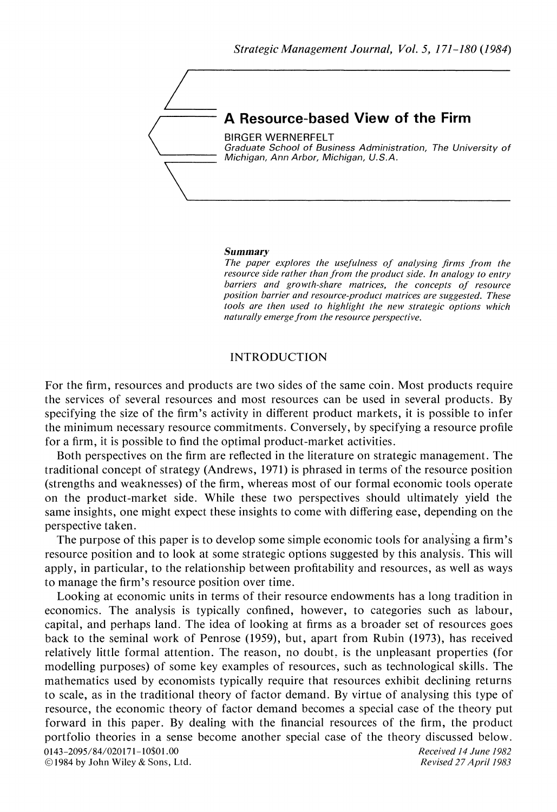

#### **Summary**

The paper explores the usefulness of analysing firms from the *resource side rather than from the product side. In analogy to entry barriers and growth-share matrices, the concepts of resource position barrier and resource-product matrices are suggested. These tools are then used to highlight the new strategic options which naturally emerge from the resource perspective.* 

#### INTRODUCTION

For the firm, resources and products are two sides of the same coin. Most products require the services of several resources and most resources can be used in several products. By specifying the size of the firm's activity in different product markets, it is possible to infer the minimum necessary resource commitments. Conversely, by specifying a resource profile for a firm, it is possible to find the optimal product-market activities.

Both perspectives on the firm are reflected in the literature on strategic management. The traditional concept of strategy (Andrews, 1971) is phrased in terms of the resource position (strengths and weaknesses) of the firm, whereas most of our formal economic tools operate on the product-market side. While these two perspectives should ultimately yield the same insights, one might expect these insights to come with differing ease, depending on the perspective taken.

The purpose of this paper is to develop some simple economic tools for analysing a firm's resource position and to look at some strategic options suggested by this analysis. This will apply, in particular, to the relationship between profitability and resources, as well as ways to manage the firm's resource position over time.

Looking at economic units in terms of their resource endowments has a long tradition in economics. The analysis is typically confined, however, to categories such as labour, capital, and perhaps land. The idea of looking at firms as a broader set of resources goes back to the seminal work of Penrose (1959), but, apart from Rubin (1973), has received relatively little formal attention. The reason, no doubt. is the unpleasant properties (for modelling purposes) of some key examples of resources, such as technological skills. The mathematics used by economists typically require that resources exhibit declining returns to scale, as in the traditional theory of factor demand. By virtue of analysing this type of resource, the economic theory of factor demand becomes a special case of the theory put forward in this paper. By dealing with the financial resources of the firm, the product portfolio theories in a sense become another special case of the theory discussed below. 0143-2095/84/020171-10\$01.00<br>
© 1984 by John Wiley & Sons, Ltd.<br> *Revised 27 April 1983* 01984 by John Wiley & Sons, Ltd. *Revised* 27*April 1983*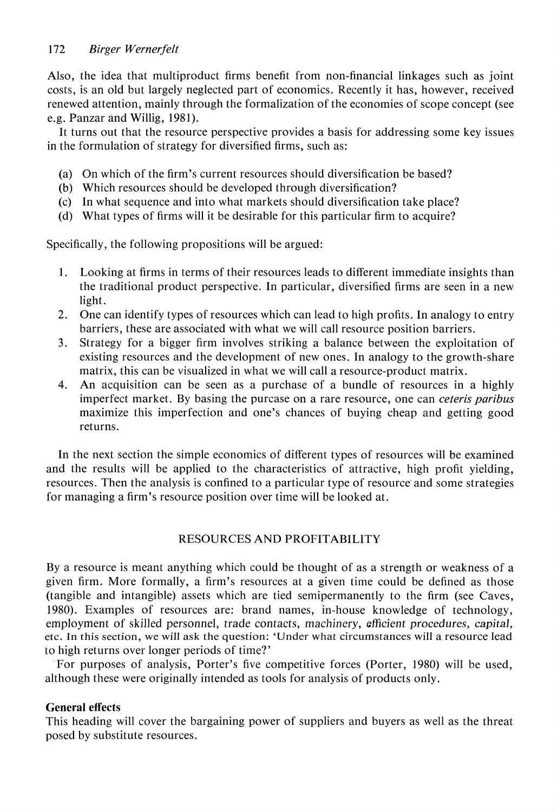Also, the idea that multiproduct firms benefit from non-financial linkages such as joint costs, is an old but largely neglected part of economics. Recently it has, however, received renewed attention, mainly through the formalization of the economies of scope concept (see e.g. Panzar and Willig, 1981).

It turns out that the resource perspective provides a basis for addressing some key issues in the formulation of strategy for diversified firms, such as:

- (a) On which of the firm's current resources should diversification be based?
- (b) Which resources should be developed through diversification?
- (c) In what sequence and into what markets should diversification take place?
- (d) What types of firms will it be desirable for this particular firm to acquire?

Specifically, the following propositions will be argued:

- **1.**  Looking at firms in terms of their resources leads to different immediate insights than the traditional product perspective. In particular, diversified firms are seen in a new light.
- 2. One can identify types of resources which can lead to high profits. In analogy to entry barriers, these are associated with what we will call resource position barriers.
- **3.**  Strategy for a bigger firm involves striking a balance between the exploitation of existing resources and the development of new ones. In analogy to the growth-share matrix, this can be visualized in what we will call a resource-product matrix.
- 4. An acquisition can be seen as a purchase of a bundle of resources in a highly imperfect market. By basing the purcase on a rare resource, one can *ceteris paribus*  maximize this imperfection and one's chances of buying cheap and getting good returns.

In the next section the simple economics of different types of resources will be examined and the results will be applied to the characteristics of attractive, high profit yielding, resources. Then the analysis is confined to a particular type of resource'and some strategies for managing a firm's resource position over time will be looked at.

## RESOURCES AND PROFITABILITY

By a resource is meant anything which could be thought of as a strength or weakness of a given firm. More formally, a firm's resources at a given time could be defined as those (tangible and intangible) assets which are tied semipermanently to the firm (see Caves, 1980). Examples of resources are: brand names, in-house knowledge of technology, employment of skilled personnel, trade contacts, machinery, efficient procedures, capital, etc. In this section, we will ask the question: 'Under what circumstances will a resource lead to high returns over longer periods of time?'

For purposes of analysis, Porter's five competitive forces (Porter, 1980) will be used, although these were originally intended as tools for analysis of products only.

#### **General effects**

This heading will cover the bargaining power of suppliers and buyers as well as the threat posed by substitute resources.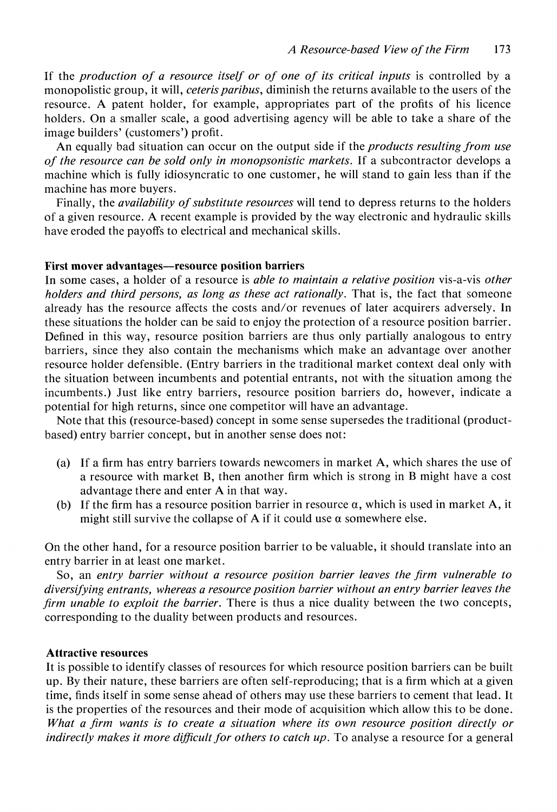If the *production of a resource itself or of one of its critical inputs* is controlled by a monopolistic group, it will, *ceteris paribus*, diminish the returns available to the users of the resource. A patent holder, for example, appropriates part of the profits of his licence holders. On a smaller scale, a good advertising agency will be able to take a share of the image builders' (customers') profit.

An equally bad situation can occur on the output side if the *products resulting from use of the resource can be sold only in monopsonistic markets.* If a subcontractor develops a machine which is fully idiosyncratic to one customer, he will stand to gain less than if the machine has more buyers.

Finally, the *availability of substitute resources* will tend to depress returns to the holders of a given resource. A recent example is provided by the way electronic and hydraulic skills have eroded the payoffs to electrical and mechanical skills.

#### First mover advantages—resource position barriers

In some cases, a holder of a resource is *able to maintain a relative position* vis-a-vis *other holders and third persons, as long as these act rationally.* That is, the fact that someone already has the resource affects the costs and/or revenues of later acquirers adversely. In these situations the holder can be said to enjoy the protection of a resource position barrier. Defined in this way, resource position barriers are thus only partially analogous to entry barriers, since they also contain the mechanisms which make an advantage over another resource holder defensible. (Entry barriers in the traditional market context deal only with the situation between incumbents and potential entrants, not with the situation among the incumbents.) Just like entry barriers, resource position barriers do, however, indicate a potential for high returns, since one competitor will have an advantage.

Note that this (resource-based) concept in some sense supersedes the traditional (productbased) entry barrier concept, but in another sense does not:

- (a) If a firm has entry barriers towards newcomers in market A, which shares the use of a resource with market B, then another firm which is strong in B might have a cost advantage there and enter A in that way.
- (b) If the firm has a resource position barrier in resource  $\alpha$ , which is used in market A, it might still survive the collapse of A if it could use  $\alpha$  somewhere else.

On the other hand, for a resource position barrier to be valuable, it should translate into an entry barrier in at least one market.

So, an *entry barrier without a resource position barrier leaves the firm vulnerable to diversifying entrants, whereas a resource position barrier without an entry barrier leaves the jirm unable to exploit the barrier.* There is thus a nice duality between the two concepts, corresponding to the duality between products and resources.

#### **Attractive resources**

It is possible to identify classes of resources for which resource position barriers can be built up. By their nature, these barriers are often self-reproducing; that is a firm which at a given time, finds itself in some sense ahead of others may use these barriers to cement that lead. It is the properties of the resources and their mode of acquisition which allow this to be done. *What a firm wants is to create a situation where its own resource position directly or indirectly makes it more difficult for others to catch up.* To analyse a resource for a general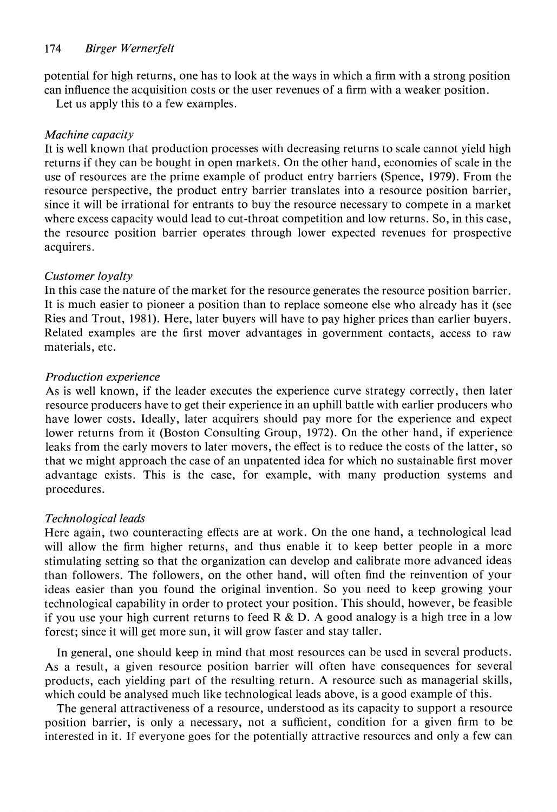potential for high returns, one has to look at the ways in which a firm with a strong position can influence the acquisition costs or the user revenues of a firm with a weaker position.

Let us apply this to a few examples.

#### *Machine capacity*

It is well known that production processes with decreasing returns to scale cannot yield high returns if they can be bought in open markets. On the other hand, economies of scale in the use of resources are the prime example of product entry barriers (Spence, 1979). From the resource perspective, the product entry barrier translates into a resource position barrier, since it will be irrational for entrants to buy the resource necessary to compete in a market where excess capacity would lead to cut-throat competition and low returns. So, in this case, the resource position barrier operates through lower expected revenues for prospective acquirers.

### *Customer loyalty*

In this case the nature of the market for the resource generates the resource position barrier. It is much easier to pioneer a position than to replace someone else who already has it (see Ries and Trout, 1981). Here, later buyers will have to pay higher prices than earlier buyers. Related examples are the first mover advantages in government contacts, access to raw materials, etc.

### *Production experience*

As is well known, if the leader executes the experience curve strategy correctly, then later resource producers have to get their experience in an uphill battle with earlier producers who have lower costs. Ideally, later acquirers should pay more for the experience and expect lower returns from it (Boston Consulting Group, 1972). On the other hand, if experience leaks from the early movers to later movers, the effect is to reduce the costs of the latter, so that we might approach the case of an unpatented idea for which no sustainable first mover advantage exists. This is the case, for example, with many production systems and procedures.

## *Technological leads*

Here again, two counteracting effects are at work. On the one hand, a technological lead will allow the firm higher returns, and thus enable it to keep better people in a more stimulating setting so that the organization can develop and calibrate more advanced ideas than followers. The followers, on the other hand, will often find the reinvention of your ideas easier than you found the original invention. So you need to keep growing your technological capability in order to protect your position. This should, however, be feasible if you use your high current returns to feed R & D. A good analogy is a high tree in a low forest; since it will get more sun, it will grow faster and stay taller.

In general, one should keep in mind that most resources can be used in several products. As a result, a given resource position barrier will often have consequences for several products, each yielding part of the resulting return. A resource such as managerial skills, which could be analysed much like technological leads above, is a good example of this.

The general attractiveness of a resource, understood as its capacity to support a resource position barrier, is only a necessary, not a sufficient, condition for a given firm to be interested in it. If everyone goes for the potentially attractive resources and only a few can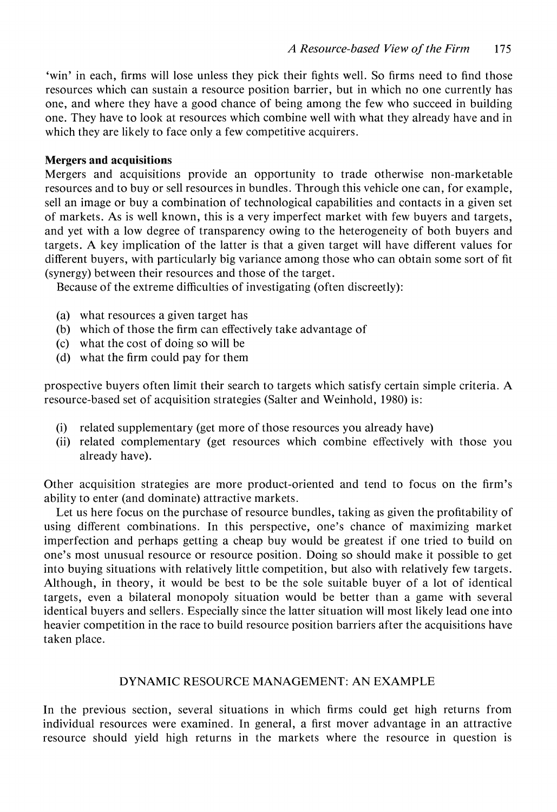'win' in each, firms will lose unless they pick their fights well. So firms need to find those resources which can sustain a resource position barrier, but in which no one currently has one, and where they have a good chance of being among the few who succeed in building one. They have to look at resources which combine well with what they already have and in which they are likely to face only a few competitive acquirers.

#### **Mergers and acquisitions**

Mergers and acquisitions provide an opportunity to trade otherwise non-marketable resources and to buy or sell resources in bundles. Through this vehicle one can, for example, sell an image or buy a combination of technological capabilities and contacts in a given set of markets. As is well known, this is a very imperfect market with few buyers and targets, and yet with a low degree of transparency owing to the heterogeneity of both buyers and targets. A key implication of the latter is that a given target will have different values for different buyers, with particularly big variance among those who can obtain some sort of fit (synergy) between their resources and those of the target.

Because of the extreme difficulties of investigating (often discreetly):

- (a) what resources a given target has
- (b) which of those the firm can effectively take advantage of
- (c) what the cost of doing so will be
- (d) what the firm could pay for them

prospective buyers often limit their search to targets which satisfy certain simple criteria. A resource-based set of acquisition strategies (Salter and Weinhold, 1980) is:

- (i) related supplementary (get more of those resources you already have)
- (ii) related complementary (get resources which combine effectively with those you already have).

Other acquisition strategies are more product-oriented and tend to focus on the firm's ability to enter (and dominate) attractive markets.

Let us here focus on the purchase of resource bundles, taking as given the profitability of using different combinations. In this perspective, one's chance of maximizing market imperfection and perhaps getting a cheap buy would be greatest if one tried to build on one's most unusual resource or resource position. Doing so should make it possible to get into buying situations with relatively little competition, but also with relatively few targets. Although, in theory, it would be best to be thc sole suitable buyer of a lot of identical targets, even a bilateral monopoly situation would be better than a game with several identical buyers and sellers. Especially since the latter situation will most likely lead one into heavier competition in the race to build resource position barriers after the acquisitions have taken place.

## DYNAMIC RESOURCE MANAGEMENT: AN EXAMPLE

In the previous section, several situations in which firms could get high returns from individual resources were examined. In general, a first mover advantage in an attractive resource should yield high returns in the markets where the resource in question is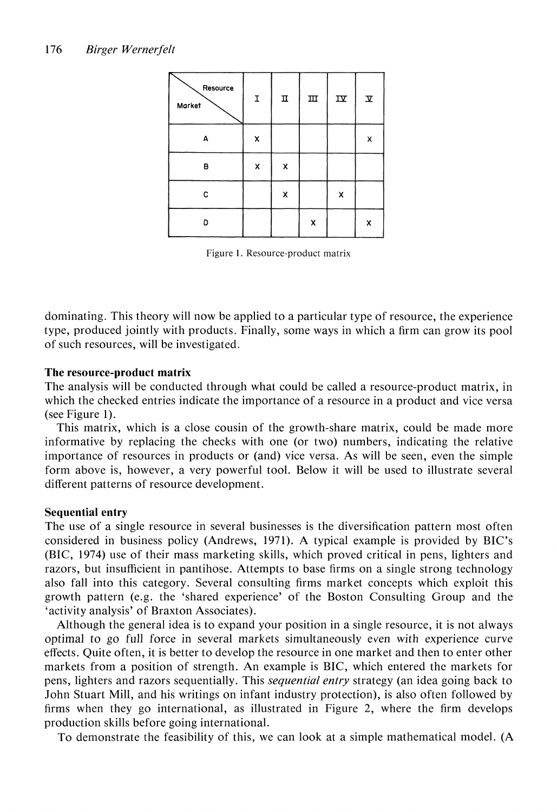| Resource<br>Market | I | п | ш | $\mathbf{\overline{u}}$ | Y |
|--------------------|---|---|---|-------------------------|---|
| А                  | X |   |   |                         | X |
| В                  | X | X |   |                         |   |
| C                  |   | X |   | X                       |   |
| D                  |   |   | X |                         | X |

*Figure* 1. *Resource-product matrix* 

dominating. This theory will now be applied to a particular type of resource, the experience type, produced jointly with products. Finally, some ways in which a firm can grow its pool of such resources, will be investigated.

#### **The resource-product matrix**

The analysis will be conducted through what could be called a resource-product matrix, in which the checked entries indicate the importance of a resource in a product and vice versa (see Figure 1).

This matrix, which is a close cousin of the growth-share matrix, could be made more informative by replacing the checks with one (or two) numbers, indicating the relative importance of resources in products or (and) vice versa. As will be seen, even the simple form above is, however, a very powerful tool. Below it will be used to illustrate several different patterns of resource development.

#### **Sequential entry**

The use of a single resource in several businesses is the diversification pattern most often considered in business policy (Andrews, 1971). A typical example is provided by BIC's (BIC, 1974) use of their mass marketing skills, which proved critical in pens, lighters and razors, but insufficient in pantihose. Attempts to base firms on a single strong technology also fall into this category. Several consulting firms market concepts which exploit this growth pattern (e.g. the 'shared experience' of the Boston Consulting Group and the 'activity analysis' of Braxton Associates).

Although the general idea is to expand your position in a single resource, it is not always optimal to go full force in several markets simultaneously even with experience curve effects. Quite often, it is better to develop the resource in one market and then to enter other markets from a position of strength. An example is BIC, which entered the markets for pens, lighters and razors sequentially. This *sequential entry* strategy (an idea going back to John Stuart Mill, and his writings on infant industry protection), is also often followed by firms when they go international, as illustrated in Figure 2, where the firm develops production skills before going international.

To demonstrate the feasibility of this, we can look at a simple mathematical model. (A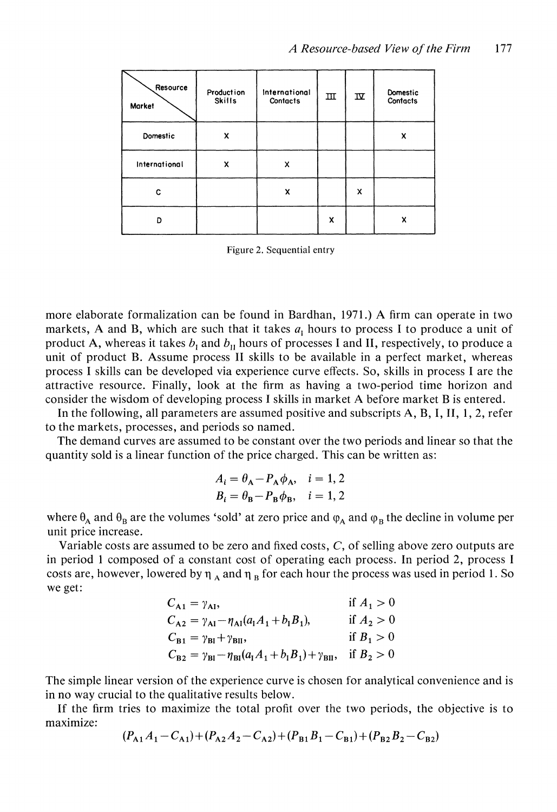| Resource<br>Market | Production<br><b>Skills</b> | International<br>Contacts | ш | $\mathbf \pi$ | Domestic<br>Contacts |
|--------------------|-----------------------------|---------------------------|---|---------------|----------------------|
| Domestic           | X                           |                           |   |               | x                    |
| International      | x                           | x                         |   |               |                      |
| с                  |                             | x                         |   | x             |                      |
| D                  |                             |                           | x |               | x                    |

Figure 2. Sequential entry

more elaborate formalization can be found in Bardhan, 1971.) A firm can operate in two markets, A and B, which are such that it takes  $a_i$  hours to process I to produce a unit of product A, whereas it takes  $b_1$  and  $b_{II}$  hours of processes I and II, respectively, to produce a unit of product B. Assume process II skills to be available in a perfect market, whereas process I skills can be developed via experience curve effects. So, skills in process I are the attractive resource. Finally, look at the firm as having a two-period time horizon and consider the wisdom of developing process I skills in market A before market B is entered.

In the following, all parameters are assumed positive and subscripts A, B, I, 11, 1, 2, refer to the markets, processes, and periods so named.

The demand curves are assumed to be constant over the two periods and linear so that the quantity sold is a linear function of the price charged. This can be written as:

$$
A_i = \theta_A - P_A \phi_A, \quad i = 1, 2
$$
  

$$
B_i = \theta_B - P_B \phi_B, \quad i = 1, 2
$$

where  $\theta_A$  and  $\theta_B$  are the volumes 'sold' at zero price and  $\varphi_A$  and  $\varphi_B$  the decline in volume per unit price increase.

Variable costs are assumed to be zero and fixed costs, C, of selling above zero outputs are in period 1 composed of a constant cost of operating each process. In period 2, process I costs are, however, lowered by  $\eta_A$  and  $\eta_B$  for each hour the process was used in period 1. So we get:

$$
C_{A1} = \gamma_{A1},
$$
 if  $A_1 > 0$   
\n
$$
C_{A2} = \gamma_{A1} - \eta_{A1}(a_1 A_1 + b_1 B_1),
$$
 if  $A_2 > 0$   
\n
$$
C_{B1} = \gamma_{B1} + \gamma_{BII},
$$
 if  $B_1 > 0$   
\n
$$
C_{B2} = \gamma_{B1} - \eta_{B1}(a_1 A_1 + b_1 B_1) + \gamma_{BII},
$$
 if  $B_2 > 0$ 

The simple linear version of the experience curve is chosen for analytical convenience and is in no way crucial to the qualitative results below.

If the firm tries to maximize the total profit over the two periods, the objective is to maximize:

$$
(P_{A1}A_1 - C_{A1}) + (P_{A2}A_2 - C_{A2}) + (P_{B1}B_1 - C_{B1}) + (P_{B2}B_2 - C_{B2})
$$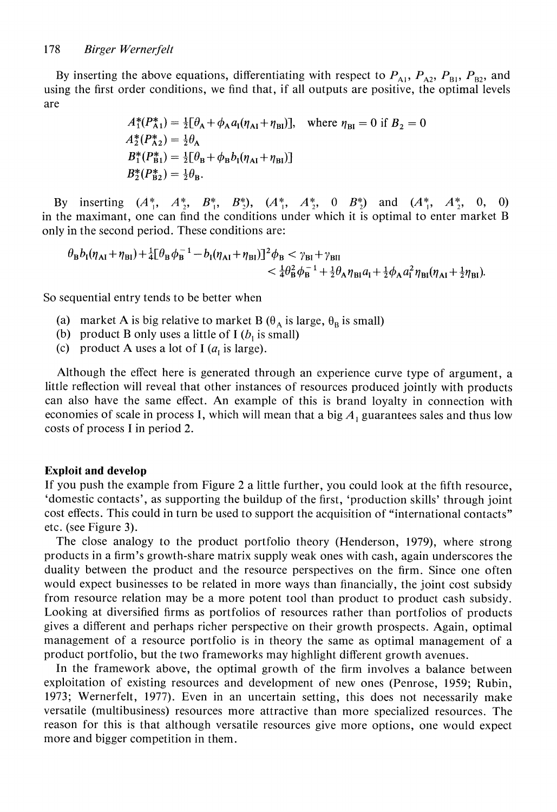By inserting the above equations, differentiating with respect to  $P_{A1}$ ,  $P_{A2}$ ,  $P_{B1}$ ,  $P_{B2}$ , and using the first order conditions, we find that, if all outputs are positive, the optimal levels are

$$
A_1^*(P_{A1}^*) = \frac{1}{2} [\theta_A + \phi_A a_I (\eta_{AI} + \eta_{BI})], \text{ where } \eta_{BI} = 0 \text{ if } B_2 = 0
$$
  
\n
$$
A_2^*(P_{A2}^*) = \frac{1}{2} \theta_A
$$
  
\n
$$
B_1^*(P_{B1}^*) = \frac{1}{2} [\theta_B + \phi_B b_I (\eta_{AI} + \eta_{BI})]
$$
  
\n
$$
B_2^*(P_{B2}^*) = \frac{1}{2} \theta_B.
$$

By inserting  $(A^*, A^*, B^*, B^*)$ ,  $(A^*, A^*, 0, B^*)$  and  $(A^*, A^*, 0, 0)$ in the maximant, one can find the conditions under which it is optimal to enter market B only in the second period. These conditions are:

$$
\theta_{\rm B} b_{\rm I}(\eta_{\rm AI} + \eta_{\rm BI}) + \frac{1}{4} \left[ \theta_{\rm B} \phi_{\rm B}^{-1} - b_{\rm I} (\eta_{\rm AI} + \eta_{\rm BI}) \right]^2 \phi_{\rm B} < \gamma_{\rm BI} + \gamma_{\rm BI} \n< \frac{1}{4} \theta_{\rm B}^2 \phi_{\rm B}^{-1} + \frac{1}{2} \theta_{\rm A} \eta_{\rm BI} a_{\rm I} + \frac{1}{2} \phi_{\rm A} a_{\rm I}^2 \eta_{\rm BI} (\eta_{\rm AI} + \frac{1}{2} \eta_{\rm BI}).
$$

So sequential entry tends to be better when

- (a) market A is big relative to market B  $(\theta_A$  is large,  $\theta_B$  is small)
- (b) product B only uses a little of I  $(b_1$  is small)
- (c) product A uses a lot of I  $(a<sub>1</sub>$  is large).

Although the effect here is generated through an experience curve type of argument, a little reflection will reveal that other instances of resources produced jointly with products can also have the same effect. An example of this is brand loyalty in connection with economies of scale in process I, which will mean that a big  $A_1$  guarantees sales and thus low costs of process I in period 2.

#### **Exploit and develop**

If you push the example from Figure 2 a little further, you could look at the fifth resource, 'domestic contacts', as supporting the buildup of the first, 'production skills' through joint cost effects. This could in turn be used to support the acquisition of "international contacts" etc. (see Figure 3).

The close analogy to the product portfolio theory (Henderson, 1979), where strong products in a firm's growth-share matrix supply weak ones with cash, again underscores the duality between the product and the resource perspectives on the firm. Since one often would expect businesses to be related in more ways than financially, the joint cost subsidy from resource relation may be a more potent tool than product to product cash subsidy. Looking at diversified firms as portfolios of resources rather than portfolios of products gives a different and perhaps richer perspective on their growth prospects. Again, optimal management of a resource portfolio is in theory the same as optimal management of a product portfolio, but the two frameworks may highlight different growth avenues.

In the framework above, the optimal growth of the firm involves a balance between exploitation of existing resources and development of new ones (Penrose, 1959; Rubin, 1973; Wernerfelt, 1977). Even in an uncertain setting, this does not necessarily make versatile (multibusiness) resources more attractive than more specialized resources. The reason for this is that although versatile resources give more options, one would expect more and bigger competition in them.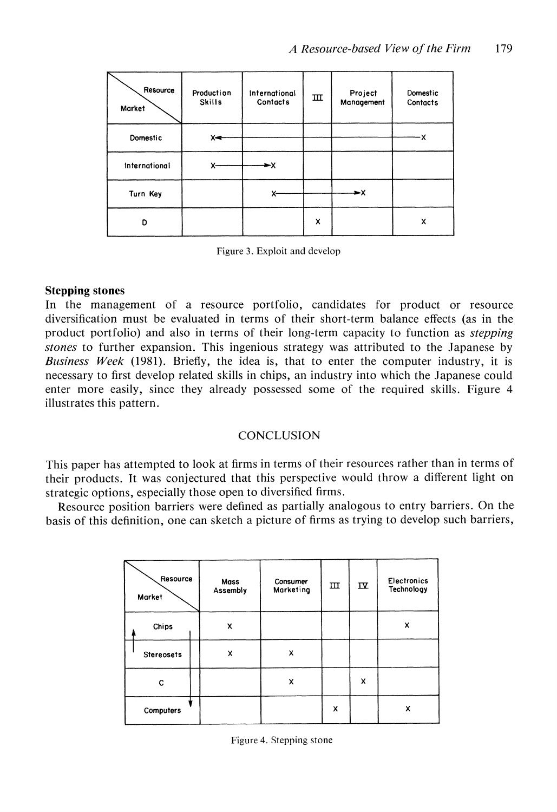| Resource<br>Market | Production<br><b>Skills</b> | International<br><b>Contacts</b> | ш | Project<br>Management | Domestic<br>Contacts |
|--------------------|-----------------------------|----------------------------------|---|-----------------------|----------------------|
| Domestic           | x≪                          |                                  |   |                       | ۰x                   |
| International      |                             | ►X                               |   |                       |                      |
| Turn Key           |                             | x-                               |   | Ж×                    |                      |
| D                  |                             |                                  | x |                       | x                    |

Figure **3.** Exploit and develop

#### **Stepping stones**

In the management of a resource portfolio, candidates for product or resource diversification must be evaluated in terms of their short-term balance effects (as in the product portfolio) and also in terms of their long-term capacity to function as *stepping stones* to further expansion. This ingenious strategy was attributed to the Japanese by *Business* Week (1981). Briefly, the idea is, that to enter the computer industry, it is necessary to first develop related skills in chips, an industry into which the Japanese could enter more easily, since they already possessed some of the required skills. Figure 4 illustrates this pattern.

#### **CONCLUSION**

This paper has attempted to look at firms in terms of their resources rather than in terms of their products. It was conjectured that this perspective would throw a different light on strategic options, especially those open to diversified firms.

Resource position barriers were defined as partially analogous to cntry barriers. On the basis of this definition, one can sketch a picture of firms as trying to develop such barriers,

| Resource<br>Market | <b>Mass</b><br>Assembly | Consumer<br>Marketing | ш | ᄑ | Electronics<br>Technology |
|--------------------|-------------------------|-----------------------|---|---|---------------------------|
| Chips              | x                       |                       |   |   | x                         |
| <b>Stereosets</b>  | X                       | X                     |   |   |                           |
| c                  |                         | x                     |   | X |                           |
| Computers          |                         |                       | X |   | x                         |

Figure 4. Stepping stone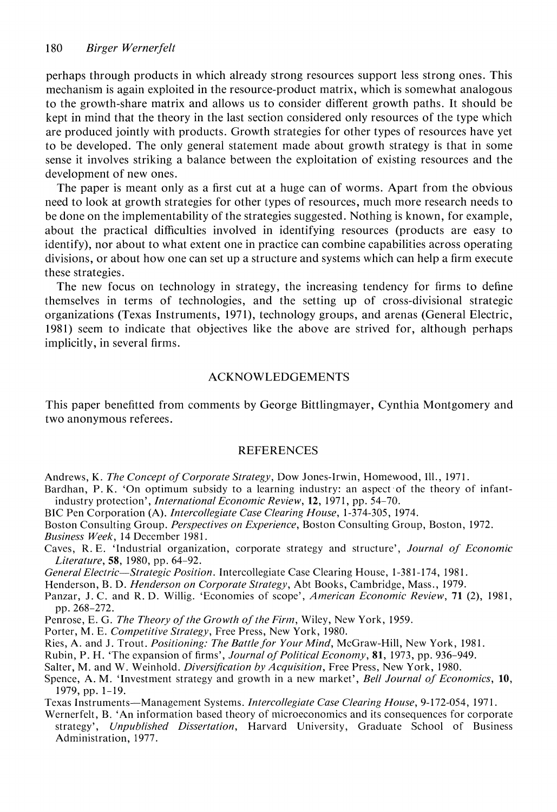perhaps through products in which already strong resources support less strong ones. This mechanism is again exploited in the resource-product matrix, which is somewhat analogous to the growth-share matrix and allows us to consider different growth paths. It should be kept in mind that the theory in the last section considered only resources of the type which are produced jointly with products. Growth strategies for other types of resources have yet to be developed. The only general statement made about growth strategy is that in some sense it involves striking a balance between the exploitation of existing resources and the development of new ones.

The paper is meant only as a first cut at a huge can of worms. Apart from the obvious need to look at growth strategies for other types of resources, much more research needs to be done on the implementability of the strategies suggested. Nothing is known, for example, about the practical difficulties involved in identifying resources (products are easy to identify), nor about to what extent one in practice can combine capabilities across operating divisions, or about how one can set up a structure and systems which can help a firm execute these strategies.

The new focus on technology in strategy, the increasing tendency for firms to define themselves in terms of technologies, and the setting up of cross-divisional strategic organizations (Texas Instruments, 1971), technology groups, and arenas (General Electric, 1981) seem to indicate that objectives like the above are strived for, although perhaps implicitly, in several firms.

#### ACKNOWLEDGEMENTS

This paper benefitted from comments by George Bittlingmayer, Cynthia Montgomery and two anonymous referees.

#### REFERENCES

Andrews, K. *The Concept of Corporate Strafegy,* Dow Jones-Irwin, Homewood, Ill., 1971.

Bardhan, P. K. 'On optimum subsidy to a learning industry: an aspect of the theory of infantindustry protection', *International Economic Review, 12,* 1971, pp. 54-70.

BIC Pen Corporation (A). *Intercollegiate Case Clearing House,* 1-374-305, 1974.

Boston Consulting Group. *Perspectives on Experience,* Boston Consulting Group, Boston, 1972. Business Week, 14 December 1981.

Caves, R. E. 'Industrial organization, corporate strategy and structure', *Journal of Economic Literature,* **58,** 1980, pp. 64-92.

*General Electric—Strategic Position.* Intercollegiate Case Clearing House, 1-381-174, 1981.

Henderson, B. D. *Henderson on Corporate Strafegy,* Abt Books, Cambridge, Mass., 1979.

Panzar, J. C. and R. D. Willig. 'Economies of scope', *American Economic Review*, 71 (2), 1981, pp. 268-272.

Penrose, E. G. *The Theory of the Growth of the Firm*, Wiley, New York, 1959.

Porter, M. E. Competitive Strategy, Free Press, New York, 1980.

Ries, A. and J. Trout. *Positioning: The Battle for YourMind,* McGraw-Hill, New York, 1981.

Rubin, P. H. 'The expansion of firms', *Journal of Political Economy,* 81, 1973, pp. 936-949.

Salter, M. and W. Weinhold. *Diversification by Acquisition*, Free Press, New York, 1980.

Spence, A. M. 'Investment strategy and growth in a new market', *Bell Journal of Economics,* **10,**  1979, pp. 1-19.

Texas Instruments-Management Systems. *Intercollegiate Case Clearing House,* 9-172-054, 1971.

Wernerfelt, B. 'An information based theory of microeconomics and its consequences for corporate strategy', Unpublished Dissertation, Harvard University, Graduate School of Business Administration, 1977.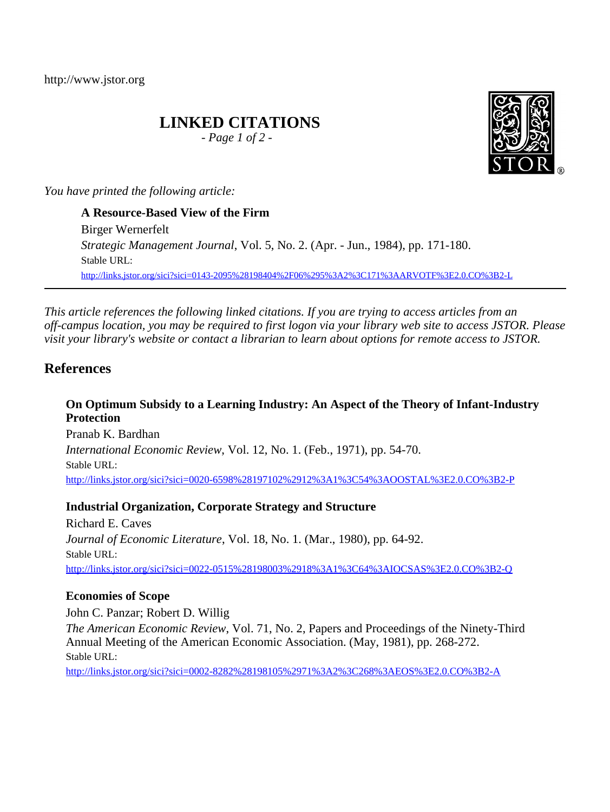http://www.jstor.org

# **LINKED CITATIONS**

*- Page 1 of 2 -*



*You have printed the following article:*

**A Resource-Based View of the Firm** Birger Wernerfelt *Strategic Management Journal*, Vol. 5, No. 2. (Apr. - Jun., 1984), pp. 171-180. Stable URL: [http://links.jstor.org/sici?sici=0143-2095%28198404%2F06%295%3A2%3C171%3AARVOTF%3E2.0.CO%3B2-L](http://links.jstor.org/sici?sici=0143-2095%28198404%2F06%295%3A2%3C171%3AARVOTF%3E2.0.CO%3B2-L&origin=JSTOR-pdf)

*This article references the following linked citations. If you are trying to access articles from an off-campus location, you may be required to first logon via your library web site to access JSTOR. Please visit your library's website or contact a librarian to learn about options for remote access to JSTOR.*

# **References**

## **On Optimum Subsidy to a Learning Industry: An Aspect of the Theory of Infant-Industry Protection**

Pranab K. Bardhan *International Economic Review*, Vol. 12, No. 1. (Feb., 1971), pp. 54-70. Stable URL: [http://links.jstor.org/sici?sici=0020-6598%28197102%2912%3A1%3C54%3AOOSTAL%3E2.0.CO%3B2-P](http://links.jstor.org/sici?sici=0020-6598%28197102%2912%3A1%3C54%3AOOSTAL%3E2.0.CO%3B2-P&origin=JSTOR-pdf)

# **Industrial Organization, Corporate Strategy and Structure**

Richard E. Caves *Journal of Economic Literature*, Vol. 18, No. 1. (Mar., 1980), pp. 64-92. Stable URL: [http://links.jstor.org/sici?sici=0022-0515%28198003%2918%3A1%3C64%3AIOCSAS%3E2.0.CO%3B2-Q](http://links.jstor.org/sici?sici=0022-0515%28198003%2918%3A1%3C64%3AIOCSAS%3E2.0.CO%3B2-Q&origin=JSTOR-pdf)

# **Economies of Scope**

John C. Panzar; Robert D. Willig *The American Economic Review*, Vol. 71, No. 2, Papers and Proceedings of the Ninety-Third Annual Meeting of the American Economic Association. (May, 1981), pp. 268-272. Stable URL:

[http://links.jstor.org/sici?sici=0002-8282%28198105%2971%3A2%3C268%3AEOS%3E2.0.CO%3B2-A](http://links.jstor.org/sici?sici=0002-8282%28198105%2971%3A2%3C268%3AEOS%3E2.0.CO%3B2-A&origin=JSTOR-pdf)